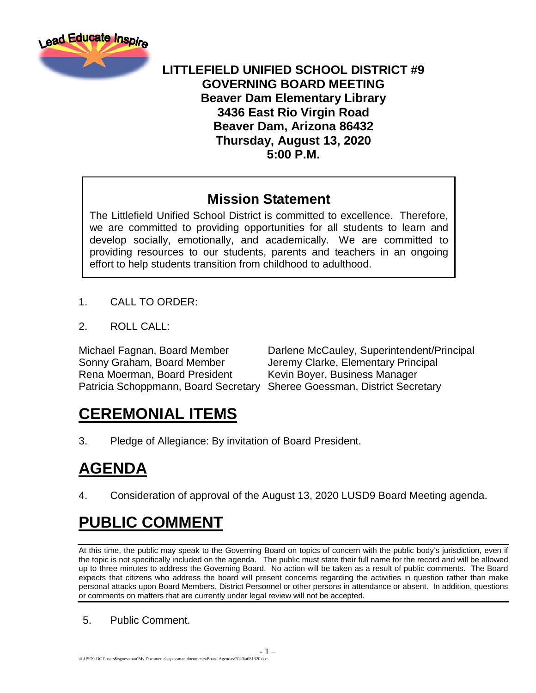

#### **LITTLEFIELD UNIFIED SCHOOL DISTRICT #9 GOVERNING BOARD MEETING Beaver Dam Elementary Library 3436 East Rio Virgin Road Beaver Dam, Arizona 86432 Thursday, August 13, 2020 5:00 P.M.**

#### **Mission Statement**

The Littlefield Unified School District is committed to excellence. Therefore, we are committed to providing opportunities for all students to learn and develop socially, emotionally, and academically. We are committed to providing resources to our students, parents and teachers in an ongoing effort to help students transition from childhood to adulthood.

- 1. CALL TO ORDER:
- 2. ROLL CALL:

Sonny Graham, Board Member Jeremy Clarke, Elementary Principal Rena Moerman, Board President Kevin Boyer, Business Manager Patricia Schoppmann, Board Secretary Sheree Goessman, District Secretary

Michael Fagnan, Board Member Darlene McCauley, Superintendent/Principal

# **CEREMONIAL ITEMS**

3. Pledge of Allegiance: By invitation of Board President.

# **AGENDA**

4. Consideration of approval of the August 13, 2020 LUSD9 Board Meeting agenda.

# **PUBLIC COMMENT**

At this time, the public may speak to the Governing Board on topics of concern with the public body's jurisdiction, even if the topic is not specifically included on the agenda. The public must state their full name for the record and will be allowed up to three minutes to address the Governing Board. No action will be taken as a result of public comments. The Board expects that citizens who address the board will present concerns regarding the activities in question rather than make personal attacks upon Board Members, District Personnel or other persons in attendance or absent. In addition, questions or comments on matters that are currently under legal review will not be accepted.

5. Public Comment.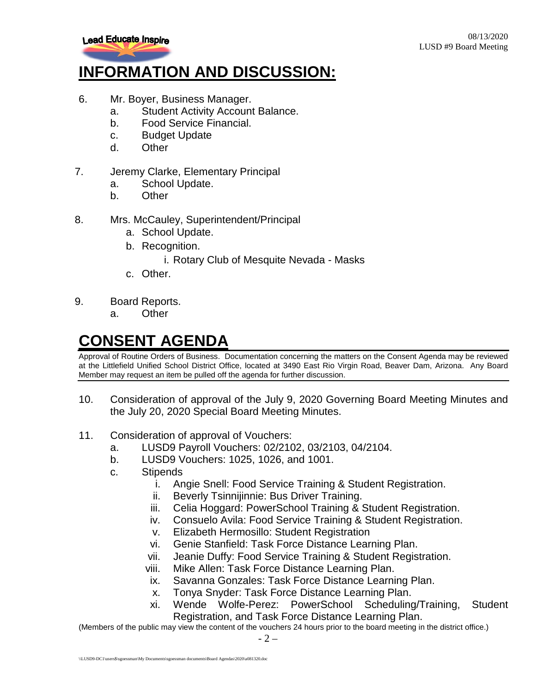

### **INFORMATION AND DISCUSSION:**

- 6. Mr. Boyer, Business Manager.
	- a. Student Activity Account Balance.
	- b. Food Service Financial.
	- c. Budget Update
	- d. Other
- 7. Jeremy Clarke, Elementary Principal
	- a. School Update.
	- b. Other
- 8. Mrs. McCauley, Superintendent/Principal
	- a. School Update.
	- b. Recognition.
		- i. Rotary Club of Mesquite Nevada Masks
	- c. Other.
- 9. Board Reports.
	- a. Other

### **CONSENT AGENDA**

Approval of Routine Orders of Business. Documentation concerning the matters on the Consent Agenda may be reviewed at the Littlefield Unified School District Office, located at 3490 East Rio Virgin Road, Beaver Dam, Arizona. Any Board Member may request an item be pulled off the agenda for further discussion.

- 10. Consideration of approval of the July 9, 2020 Governing Board Meeting Minutes and the July 20, 2020 Special Board Meeting Minutes.
- 11. Consideration of approval of Vouchers:
	- a. LUSD9 Payroll Vouchers: 02/2102, 03/2103, 04/2104.
	- b. LUSD9 Vouchers: 1025, 1026, and 1001.
	- c. Stipends
		- i. Angie Snell: Food Service Training & Student Registration.
		- ii. Beverly Tsinnijinnie: Bus Driver Training.
		- iii. Celia Hoggard: PowerSchool Training & Student Registration.
		- iv. Consuelo Avila: Food Service Training & Student Registration.
		- v. Elizabeth Hermosillo: Student Registration
		- vi. Genie Stanfield: Task Force Distance Learning Plan.
		- vii. Jeanie Duffy: Food Service Training & Student Registration.
		- viii. Mike Allen: Task Force Distance Learning Plan.
		- ix. Savanna Gonzales: Task Force Distance Learning Plan.
		- x. Tonya Snyder: Task Force Distance Learning Plan.
		- xi. Wende Wolfe-Perez: PowerSchool Scheduling/Training, Student Registration, and Task Force Distance Learning Plan.

(Members of the public may view the content of the vouchers 24 hours prior to the board meeting in the district office.)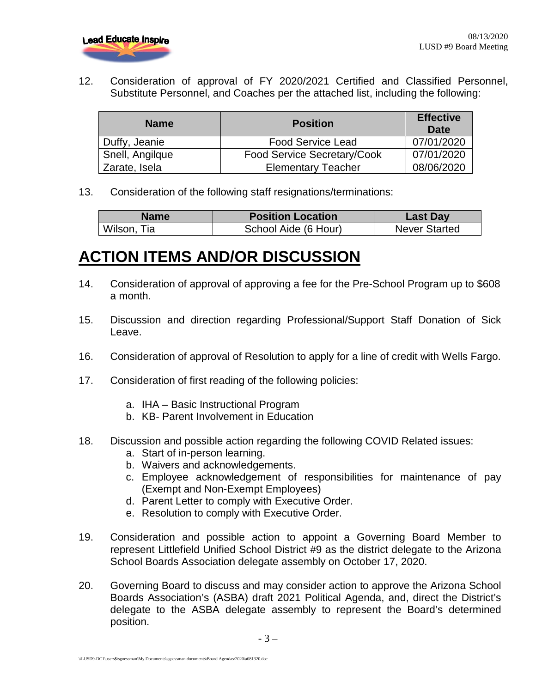

12. Consideration of approval of FY 2020/2021 Certified and Classified Personnel, Substitute Personnel, and Coaches per the attached list, including the following:

| <b>Name</b>     | <b>Position</b>             | <b>Effective</b><br><b>Date</b> |
|-----------------|-----------------------------|---------------------------------|
| Duffy, Jeanie   | <b>Food Service Lead</b>    | 07/01/2020                      |
| Snell, Angilque | Food Service Secretary/Cook | 07/01/2020                      |
| Zarate, Isela   | <b>Elementary Teacher</b>   | 08/06/2020                      |

13. Consideration of the following staff resignations/terminations:

| Name        | <b>Position Location</b> | <b>Last Day</b>      |
|-------------|--------------------------|----------------------|
| Wilson, Tia | School Aide (6 Hour)     | <b>Never Started</b> |

#### **ACTION ITEMS AND/OR DISCUSSION**

- 14. Consideration of approval of approving a fee for the Pre-School Program up to \$608 a month.
- 15. Discussion and direction regarding Professional/Support Staff Donation of Sick Leave.
- 16. Consideration of approval of Resolution to apply for a line of credit with Wells Fargo.
- 17. Consideration of first reading of the following policies:
	- a. IHA Basic Instructional Program
	- b. KB- Parent Involvement in Education
- 18. Discussion and possible action regarding the following COVID Related issues:
	- a. Start of in-person learning.
	- b. Waivers and acknowledgements.
	- c. Employee acknowledgement of responsibilities for maintenance of pay (Exempt and Non-Exempt Employees)
	- d. Parent Letter to comply with Executive Order.
	- e. Resolution to comply with Executive Order.
- 19. Consideration and possible action to appoint a Governing Board Member to represent Littlefield Unified School District #9 as the district delegate to the Arizona School Boards Association delegate assembly on October 17, 2020.
- 20. Governing Board to discuss and may consider action to approve the Arizona School Boards Association's (ASBA) draft 2021 Political Agenda, and, direct the District's delegate to the ASBA delegate assembly to represent the Board's determined position.